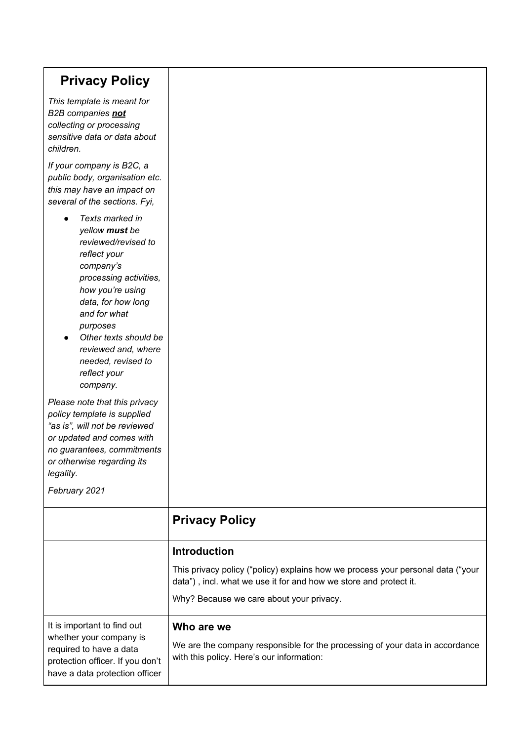| <b>Privacy Policy</b>                                                                                                                                                                                                                                                                   |                                                                                                                                                                                                  |
|-----------------------------------------------------------------------------------------------------------------------------------------------------------------------------------------------------------------------------------------------------------------------------------------|--------------------------------------------------------------------------------------------------------------------------------------------------------------------------------------------------|
| This template is meant for<br>B2B companies not<br>collecting or processing<br>sensitive data or data about<br>children.                                                                                                                                                                |                                                                                                                                                                                                  |
| If your company is B2C, a<br>public body, organisation etc.<br>this may have an impact on<br>several of the sections. Fyi,                                                                                                                                                              |                                                                                                                                                                                                  |
| Texts marked in<br>yellow must be<br>reviewed/revised to<br>reflect your<br>company's<br>processing activities,<br>how you're using<br>data, for how long<br>and for what<br>purposes<br>Other texts should be<br>reviewed and, where<br>needed, revised to<br>reflect your<br>company. |                                                                                                                                                                                                  |
| Please note that this privacy<br>policy template is supplied<br>"as is", will not be reviewed<br>or updated and comes with<br>no guarantees, commitments<br>or otherwise regarding its<br>legality.<br>February 2021                                                                    |                                                                                                                                                                                                  |
|                                                                                                                                                                                                                                                                                         | <b>Privacy Policy</b>                                                                                                                                                                            |
|                                                                                                                                                                                                                                                                                         | <b>Introduction</b>                                                                                                                                                                              |
|                                                                                                                                                                                                                                                                                         | This privacy policy ("policy) explains how we process your personal data ("your<br>data"), incl. what we use it for and how we store and protect it.<br>Why? Because we care about your privacy. |
| It is important to find out<br>whether your company is<br>required to have a data<br>protection officer. If you don't<br>have a data protection officer                                                                                                                                 | Who are we<br>We are the company responsible for the processing of your data in accordance<br>with this policy. Here's our information:                                                          |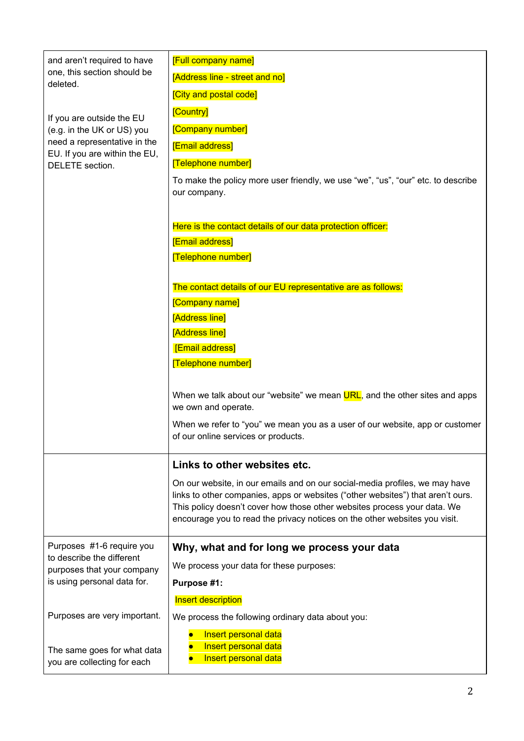| and aren't required to have<br>one, this section should be<br>deleted.<br>If you are outside the EU<br>(e.g. in the UK or US) you<br>need a representative in the<br>EU. If you are within the EU,<br>DELETE section. | <b>[Full company name]</b><br>[Address line - street and no]<br><b>[City and postal code]</b><br>[Country]<br>[Company number]<br><b>[Email address]</b><br>[Telephone number]<br>To make the policy more user friendly, we use "we", "us", "our" etc. to describe<br>our company.                                       |
|-----------------------------------------------------------------------------------------------------------------------------------------------------------------------------------------------------------------------|--------------------------------------------------------------------------------------------------------------------------------------------------------------------------------------------------------------------------------------------------------------------------------------------------------------------------|
|                                                                                                                                                                                                                       | Here is the contact details of our data protection officer:<br><b>[Email address]</b><br><b>Telephone number]</b>                                                                                                                                                                                                        |
|                                                                                                                                                                                                                       | The contact details of our EU representative are as follows:<br>[Company name]<br><b>Address line</b> ]<br>[Address line]<br>[Email address]<br>[Telephone number]                                                                                                                                                       |
|                                                                                                                                                                                                                       | When we talk about our "website" we mean URL, and the other sites and apps<br>we own and operate.<br>When we refer to "you" we mean you as a user of our website, app or customer<br>of our online services or products.                                                                                                 |
|                                                                                                                                                                                                                       | Links to other websites etc.                                                                                                                                                                                                                                                                                             |
|                                                                                                                                                                                                                       | On our website, in our emails and on our social-media profiles, we may have<br>links to other companies, apps or websites ("other websites") that aren't ours.<br>This policy doesn't cover how those other websites process your data. We<br>encourage you to read the privacy notices on the other websites you visit. |
| Purposes #1-6 require you<br>to describe the different<br>purposes that your company<br>is using personal data for.                                                                                                   | Why, what and for long we process your data                                                                                                                                                                                                                                                                              |
|                                                                                                                                                                                                                       | We process your data for these purposes:                                                                                                                                                                                                                                                                                 |
|                                                                                                                                                                                                                       | Purpose #1:                                                                                                                                                                                                                                                                                                              |
|                                                                                                                                                                                                                       | Insert description                                                                                                                                                                                                                                                                                                       |
| Purposes are very important.                                                                                                                                                                                          | We process the following ordinary data about you:                                                                                                                                                                                                                                                                        |
| The same goes for what data<br>you are collecting for each                                                                                                                                                            | Insert personal data<br>Insert personal data<br>Insert personal data                                                                                                                                                                                                                                                     |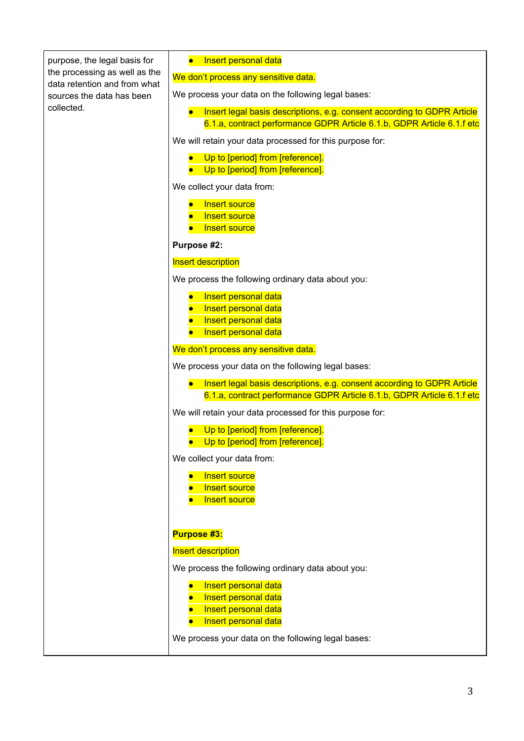|                                                               | Insert personal data                                                                                                                              |
|---------------------------------------------------------------|---------------------------------------------------------------------------------------------------------------------------------------------------|
| purpose, the legal basis for<br>the processing as well as the |                                                                                                                                                   |
| data retention and from what                                  | We don't process any sensitive data.                                                                                                              |
| sources the data has been                                     | We process your data on the following legal bases:                                                                                                |
| collected.                                                    | Insert legal basis descriptions, e.g. consent according to GDPR Article<br>6.1.a, contract performance GDPR Article 6.1.b, GDPR Article 6.1.f etc |
|                                                               | We will retain your data processed for this purpose for:                                                                                          |
|                                                               | Up to [period] from [reference].<br>Up to [period] from [reference].                                                                              |
|                                                               | We collect your data from:                                                                                                                        |
|                                                               | <b>Insert source</b><br><b>Insert source</b><br><b>Insert source</b>                                                                              |
|                                                               | Purpose #2:                                                                                                                                       |
|                                                               | <b>Insert description</b>                                                                                                                         |
|                                                               | We process the following ordinary data about you:                                                                                                 |
|                                                               | Insert personal data<br>Insert personal data<br>Insert personal data<br>Insert personal data                                                      |
|                                                               | We don't process any sensitive data.                                                                                                              |
|                                                               | We process your data on the following legal bases:                                                                                                |
|                                                               | Insert legal basis descriptions, e.g. consent according to GDPR Article<br>6.1.a, contract performance GDPR Article 6.1.b, GDPR Article 6.1.f etc |
|                                                               | We will retain your data processed for this purpose for:                                                                                          |
|                                                               | Up to [period] from [reference].<br>Up to [period] from [reference].                                                                              |
|                                                               | We collect your data from:                                                                                                                        |
|                                                               | <b>Insert source</b><br>Insert source<br>Insert source                                                                                            |
|                                                               | Purpose #3:                                                                                                                                       |
|                                                               | Insert description                                                                                                                                |
|                                                               | We process the following ordinary data about you:                                                                                                 |
|                                                               | Insert personal data<br>Insert personal data<br>Insert personal data<br>Insert personal data                                                      |
|                                                               | We process your data on the following legal bases:                                                                                                |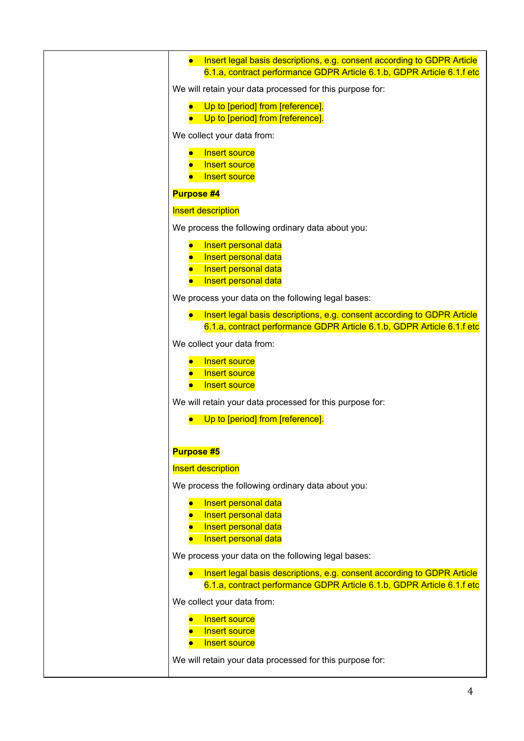| Insert legal basis descriptions, e.g. consent according to GDPR Article<br>$\bullet$<br>6.1.a, contract performance GDPR Article 6.1.b, GDPR Article 6.1.f etc |
|----------------------------------------------------------------------------------------------------------------------------------------------------------------|
| We will retain your data processed for this purpose for:                                                                                                       |
| Up to [period] from [reference].<br>Up to [period] from [reference].                                                                                           |
| We collect your data from:                                                                                                                                     |
| <b>Insert source</b><br><b>Insert source</b><br>Insert source                                                                                                  |
| <b>Purpose #4</b>                                                                                                                                              |
| <b>Insert description</b>                                                                                                                                      |
| We process the following ordinary data about you:                                                                                                              |
| Insert personal data<br>Insert personal data<br>Insert personal data<br>Insert personal data                                                                   |
| We process your data on the following legal bases:                                                                                                             |
| Insert legal basis descriptions, e.g. consent according to GDPR Article<br>6.1.a, contract performance GDPR Article 6.1.b, GDPR Article 6.1.f etc              |
| We collect your data from:                                                                                                                                     |
| <b>Insert source</b><br>Insert source<br>Insert source                                                                                                         |
| We will retain your data processed for this purpose for:                                                                                                       |
| Up to [period] from [reference].                                                                                                                               |
| <b>Purpose #5</b>                                                                                                                                              |
| <b>Insert description</b>                                                                                                                                      |
| We process the following ordinary data about you:                                                                                                              |
| Insert personal data<br>Insert personal data<br>Insert personal data<br>Insert personal data                                                                   |
| We process your data on the following legal bases:                                                                                                             |
| Insert legal basis descriptions, e.g. consent according to GDPR Article<br>6.1.a, contract performance GDPR Article 6.1.b, GDPR Article 6.1.f etc              |
| We collect your data from:                                                                                                                                     |
| <b>Insert source</b><br>Insert source<br>Insert source                                                                                                         |
| We will retain your data processed for this purpose for:                                                                                                       |
|                                                                                                                                                                |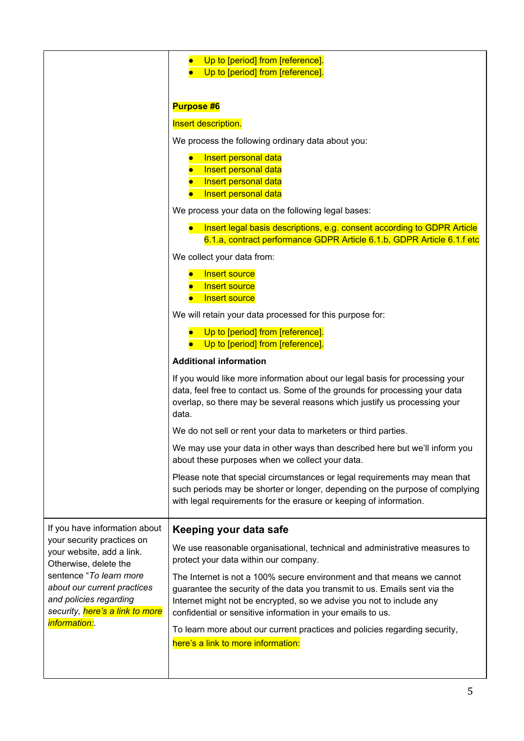|                                                                                                                                                                                                                                | Up to [period] from [reference].<br>Up to [period] from [reference].                                                                                                                                                                                                                        |
|--------------------------------------------------------------------------------------------------------------------------------------------------------------------------------------------------------------------------------|---------------------------------------------------------------------------------------------------------------------------------------------------------------------------------------------------------------------------------------------------------------------------------------------|
|                                                                                                                                                                                                                                | <b>Purpose #6</b>                                                                                                                                                                                                                                                                           |
|                                                                                                                                                                                                                                | Insert description.                                                                                                                                                                                                                                                                         |
|                                                                                                                                                                                                                                | We process the following ordinary data about you:                                                                                                                                                                                                                                           |
|                                                                                                                                                                                                                                | Insert personal data<br>Insert personal data<br>Insert personal data<br>Insert personal data                                                                                                                                                                                                |
|                                                                                                                                                                                                                                | We process your data on the following legal bases:                                                                                                                                                                                                                                          |
|                                                                                                                                                                                                                                | Insert legal basis descriptions, e.g. consent according to GDPR Article<br>6.1.a, contract performance GDPR Article 6.1.b, GDPR Article 6.1.f etc                                                                                                                                           |
|                                                                                                                                                                                                                                | We collect your data from:                                                                                                                                                                                                                                                                  |
|                                                                                                                                                                                                                                | <b>Insert source</b><br><b>Insert source</b><br>Insert source                                                                                                                                                                                                                               |
|                                                                                                                                                                                                                                | We will retain your data processed for this purpose for:                                                                                                                                                                                                                                    |
|                                                                                                                                                                                                                                | Up to [period] from [reference].<br>Up to [period] from [reference].                                                                                                                                                                                                                        |
|                                                                                                                                                                                                                                | <b>Additional information</b>                                                                                                                                                                                                                                                               |
|                                                                                                                                                                                                                                | If you would like more information about our legal basis for processing your<br>data, feel free to contact us. Some of the grounds for processing your data<br>overlap, so there may be several reasons which justify us processing your<br>data.                                           |
|                                                                                                                                                                                                                                | We do not sell or rent your data to marketers or third parties.                                                                                                                                                                                                                             |
|                                                                                                                                                                                                                                | We may use your data in other ways than described here but we'll inform you<br>about these purposes when we collect your data.                                                                                                                                                              |
|                                                                                                                                                                                                                                | Please note that special circumstances or legal requirements may mean that<br>such periods may be shorter or longer, depending on the purpose of complying<br>with legal requirements for the erasure or keeping of information.                                                            |
| If you have information about                                                                                                                                                                                                  | Keeping your data safe                                                                                                                                                                                                                                                                      |
| your security practices on<br>your website, add a link.<br>Otherwise, delete the<br>sentence "To learn more<br>about our current practices<br>and policies regarding<br>security, here's a link to more<br><i>information:</i> | We use reasonable organisational, technical and administrative measures to<br>protect your data within our company.                                                                                                                                                                         |
|                                                                                                                                                                                                                                | The Internet is not a 100% secure environment and that means we cannot<br>guarantee the security of the data you transmit to us. Emails sent via the<br>Internet might not be encrypted, so we advise you not to include any<br>confidential or sensitive information in your emails to us. |
|                                                                                                                                                                                                                                | To learn more about our current practices and policies regarding security,<br>here's a link to more information:                                                                                                                                                                            |
|                                                                                                                                                                                                                                |                                                                                                                                                                                                                                                                                             |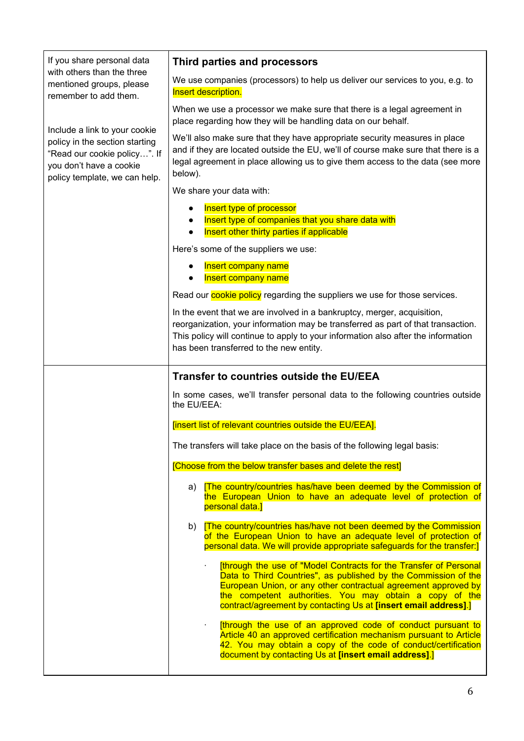| If you share personal data                                                                                                                                  | Third parties and processors                                                                                                                                                                                                                                                                                                               |
|-------------------------------------------------------------------------------------------------------------------------------------------------------------|--------------------------------------------------------------------------------------------------------------------------------------------------------------------------------------------------------------------------------------------------------------------------------------------------------------------------------------------|
| with others than the three<br>mentioned groups, please<br>remember to add them.                                                                             | We use companies (processors) to help us deliver our services to you, e.g. to<br>Insert description.                                                                                                                                                                                                                                       |
| Include a link to your cookie<br>policy in the section starting<br>"Read our cookie policy". If<br>you don't have a cookie<br>policy template, we can help. | When we use a processor we make sure that there is a legal agreement in<br>place regarding how they will be handling data on our behalf.                                                                                                                                                                                                   |
|                                                                                                                                                             | We'll also make sure that they have appropriate security measures in place<br>and if they are located outside the EU, we'll of course make sure that there is a<br>legal agreement in place allowing us to give them access to the data (see more<br>below).                                                                               |
|                                                                                                                                                             | We share your data with:                                                                                                                                                                                                                                                                                                                   |
|                                                                                                                                                             | Insert type of processor<br>Insert type of companies that you share data with<br>Insert other thirty parties if applicable                                                                                                                                                                                                                 |
|                                                                                                                                                             | Here's some of the suppliers we use:                                                                                                                                                                                                                                                                                                       |
|                                                                                                                                                             | Insert company name<br><b>Insert company name</b>                                                                                                                                                                                                                                                                                          |
|                                                                                                                                                             | Read our <b>cookie policy</b> regarding the suppliers we use for those services.                                                                                                                                                                                                                                                           |
|                                                                                                                                                             | In the event that we are involved in a bankruptcy, merger, acquisition,<br>reorganization, your information may be transferred as part of that transaction.<br>This policy will continue to apply to your information also after the information<br>has been transferred to the new entity.                                                |
|                                                                                                                                                             | <b>Transfer to countries outside the EU/EEA</b>                                                                                                                                                                                                                                                                                            |
|                                                                                                                                                             | In some cases, we'll transfer personal data to the following countries outside<br>the EU/EEA:                                                                                                                                                                                                                                              |
|                                                                                                                                                             | [insert list of relevant countries outside the EU/EEA].                                                                                                                                                                                                                                                                                    |
|                                                                                                                                                             | The transfers will take place on the basis of the following legal basis:                                                                                                                                                                                                                                                                   |
|                                                                                                                                                             | [Choose from the below transfer bases and delete the rest]                                                                                                                                                                                                                                                                                 |
|                                                                                                                                                             | a) [The country/countries has/have been deemed by the Commission of<br>the European Union to have an adequate level of protection of<br>personal data.]                                                                                                                                                                                    |
|                                                                                                                                                             | b) <b>The country/countries has/have not been deemed by the Commission</b><br>of the European Union to have an adequate level of protection of<br>personal data. We will provide appropriate safeguards for the transfer:                                                                                                                  |
|                                                                                                                                                             | [through the use of "Model Contracts for the Transfer of Personal<br>¥.<br>Data to Third Countries", as published by the Commission of the<br>European Union, or any other contractual agreement approved by<br>the competent authorities. You may obtain a copy of the<br>contract/agreement by contacting Us at [insert email address].] |
|                                                                                                                                                             | [through the use of an approved code of conduct pursuant to<br>Article 40 an approved certification mechanism pursuant to Article<br>42. You may obtain a copy of the code of conduct/certification<br>document by contacting Us at [insert email address].]                                                                               |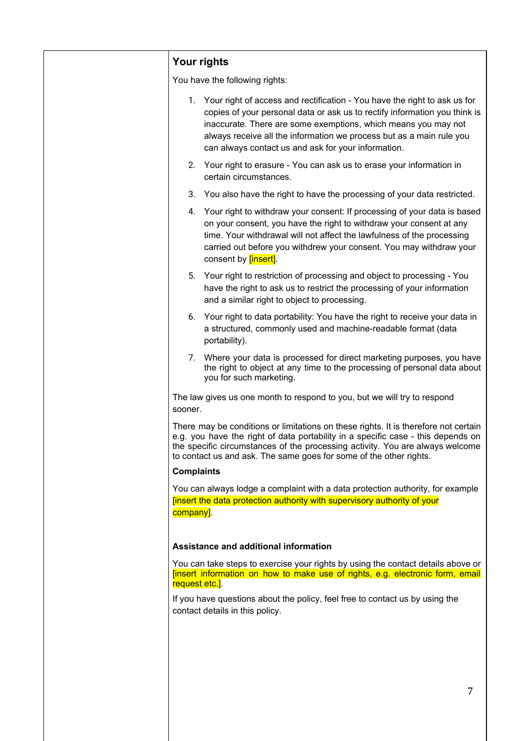| Your rights                                                                                                                                                                                                                                                                                                                                                 |
|-------------------------------------------------------------------------------------------------------------------------------------------------------------------------------------------------------------------------------------------------------------------------------------------------------------------------------------------------------------|
| You have the following rights:                                                                                                                                                                                                                                                                                                                              |
| 1. Your right of access and rectification - You have the right to ask us for<br>copies of your personal data or ask us to rectify information you think is<br>inaccurate. There are some exemptions, which means you may not<br>always receive all the information we process but as a main rule you<br>can always contact us and ask for your information. |
| 2. Your right to erasure - You can ask us to erase your information in<br>certain circumstances.                                                                                                                                                                                                                                                            |
| 3. You also have the right to have the processing of your data restricted.                                                                                                                                                                                                                                                                                  |
| 4. Your right to withdraw your consent: If processing of your data is based<br>on your consent, you have the right to withdraw your consent at any<br>time. Your withdrawal will not affect the lawfulness of the processing<br>carried out before you withdrew your consent. You may withdraw your<br>consent by <b>[insert]</b> .                         |
| 5. Your right to restriction of processing and object to processing - You<br>have the right to ask us to restrict the processing of your information<br>and a similar right to object to processing.                                                                                                                                                        |
| 6. Your right to data portability: You have the right to receive your data in<br>a structured, commonly used and machine-readable format (data<br>portability).                                                                                                                                                                                             |
| 7. Where your data is processed for direct marketing purposes, you have<br>the right to object at any time to the processing of personal data about<br>you for such marketing.                                                                                                                                                                              |
| The law gives us one month to respond to you, but we will try to respond<br>sooner.                                                                                                                                                                                                                                                                         |
| There may be conditions or limitations on these rights. It is therefore not certain<br>e.g. you have the right of data portability in a specific case - this depends on<br>the specific circumstances of the processing activity. You are always welcome<br>to contact us and ask. The same goes for some of the other rights.                              |
| <b>Complaints</b>                                                                                                                                                                                                                                                                                                                                           |
| You can always lodge a complaint with a data protection authority, for example<br>Tinsert the data protection authority with supervisory authority of your<br>company].                                                                                                                                                                                     |
| Assistance and additional information                                                                                                                                                                                                                                                                                                                       |
| You can take steps to exercise your rights by using the contact details above or<br>[insert information on how to make use of rights, e.g. electronic form, email<br>request etc.].                                                                                                                                                                         |
| If you have questions about the policy, feel free to contact us by using the<br>contact details in this policy.                                                                                                                                                                                                                                             |
|                                                                                                                                                                                                                                                                                                                                                             |